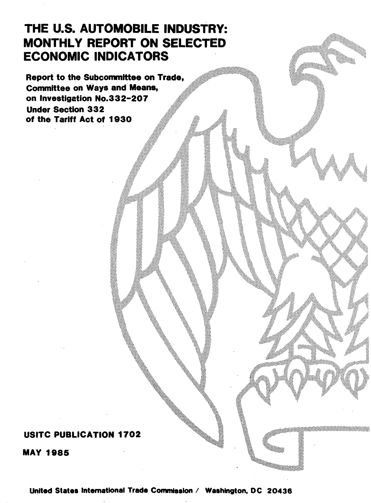# THE U.S. AUTOMOBILE INDUSTRY: **MONTHLY REPORT ON SELECTED** ECONOMIC INDICATORS

Report to the Subcommittee on Trade, Committee on Ways and Means, on Investigation No.332-207 Under Section 332 of the Tariff Act of 1930

## USITC PUBLICATION 1702

MAY 1985

United States International Trade Commission / Washington, DC 20436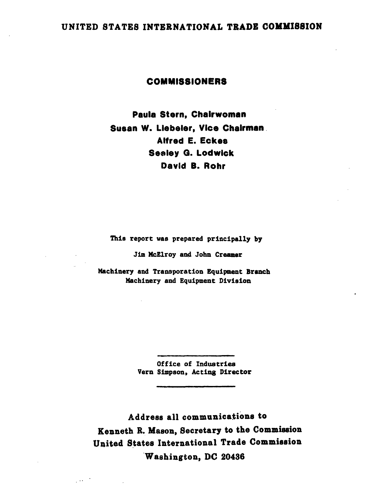## UNITED STATES INTERNATIONAL TRADE COMMISSION

#### COMMISSIONERS

Paula Stern, Chairwoman Susan W. Llebeler, Vice Chairman . Alfred E. Eckes Sealey G. Lodwick David B. Rohr

Thia report was prepared principally by

Jim McElroy and John Creamer

Machinery and Tranaporation Equipment Branch Machinery and Equipment Division

> Office of Industries Vern Simpson. Acting Director

Address all communications to Kenneth R. Mason, Secretary to the Commission United States International Trade Commission Washington, DC 20436

 $\sim$   $\sim$   $\sim$   $\sim$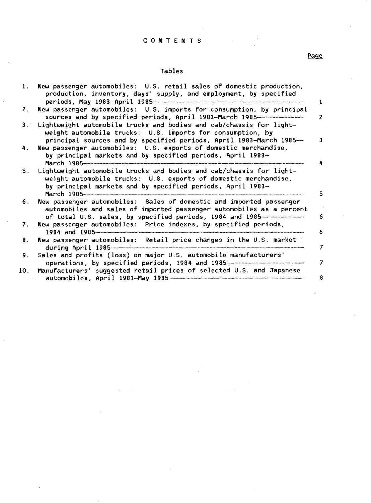#### C 0 N T E N T S

## Tables

|           | 1. New passenger automobiles: U.S. retail sales of domestic production,<br>production, inventory, days' supply, and employment, by specified<br>п.                                                            |
|-----------|---------------------------------------------------------------------------------------------------------------------------------------------------------------------------------------------------------------|
| 2.        | New passenger automobiles: U.S. imports for consumption, by principal<br>sources and by specified periods, April 1983-March 1985-<br>$\overline{2}$                                                           |
| $3 \cdot$ | Lightweight automobile trucks and bodies and cab/chassis for light-<br>weight automobile trucks: U.S. imports for consumption, by<br>principal sources and by specified periods, April 1983-March 1985-<br>3. |
| 4.        | New passenger automobiles: U.S. exports of domestic merchandise,<br>by principal markets and by specified periods, April 1983-<br>March 1985                                                                  |
| 5.        | Lightweight automobile trucks and bodies and cab/chassis for light-<br>weight automobile trucks: U.S. exports of domestic merchandise,<br>by principal markets and by specified periods, April 1983-<br>5.    |
| 6.        | New passenger automobiles: Sales of domestic and imported passenger<br>automobiles and sales of imported passenger automobiles as a percent<br>of total U.S. sales, by specified periods, 1984 and 1985<br>6  |
| 7.        | New passenger automobiles: Price indexes, by specified periods,<br>1984 and 1985<br>6                                                                                                                         |
| 8.        | New passenger automobiles: Retail price changes in the U.S. market<br>during April 1985<br>7                                                                                                                  |
| 9.        | Sales and profits (loss) on major U.S. automobile manufacturers'<br>operations, by specified periods, 1984 and 1985<br>7                                                                                      |
| 10.       | Manufacturers' suggested retail prices of selected U.S. and Japanese<br>8<br>automobiles, April 1981-May 1985-1988 automobiles, April 1981                                                                    |

## Page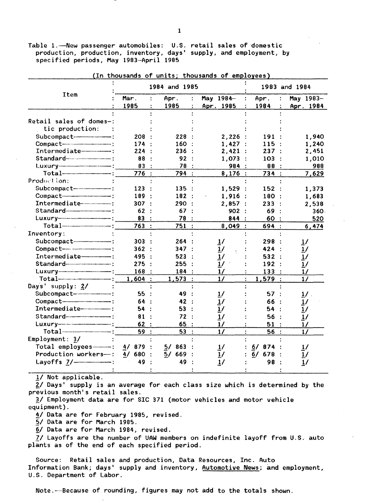Table 1.-New passenger automobiles: U.S. retail sales of domestic production, production, inventory, days' supply, and employment, by specified periods, May 1983-April 1985

|                                     |           | 1984 and 1985 |               | 1983 and 1984      |               |  |  |
|-------------------------------------|-----------|---------------|---------------|--------------------|---------------|--|--|
| Item                                | Mar .     | Apr.          | May 1984-     | Apr.               | May 1983-     |  |  |
|                                     | 1985      | 1985          | Apr. 1985     | 1984               | Apr. 1984     |  |  |
|                                     |           |               |               |                    |               |  |  |
| Retail sales of domes-:             |           |               |               |                    |               |  |  |
| tic production:                     |           |               |               |                    |               |  |  |
| Subcompact-                         | 208       | 228           | 2,226         | 191                | 1,940         |  |  |
| Compact-                            | 174       | 160           | 1,427         | 115                | 1,240         |  |  |
| Intermediate-----------             | 224       | 236           | 2,421<br>- 11 | 237                | 2,451         |  |  |
|                                     | 88        | 92            | 1,073         | 103                | 1,010         |  |  |
|                                     | 83        | 78            | 984           | 88                 | 988           |  |  |
|                                     | 776:      | 794 :         | 8,176:        | 734 :              | 7,629         |  |  |
| Production:                         |           |               |               |                    |               |  |  |
| Subcompact-----------------------   | 123       | 135           | 1,529         | 152                | 1,373         |  |  |
| Compact-                            | 189       | 182:          | 1,916         | 180                | 1,683         |  |  |
| Intermediate------------------      | 307       | 290           | 2,857         | 233                | 2,538         |  |  |
| $Standard$ $\ldots$                 | 62        | 67            | 902           | 69                 | $360 -$       |  |  |
|                                     | 83        | 78            | 844           | 60                 | 520           |  |  |
|                                     | 763       | 751           | 8,049:        | 694 :              | 6,474         |  |  |
| Inventory:                          |           |               |               |                    |               |  |  |
| Subcompact----------------------    | 303       | 264           | 17            | 298                | <u>1</u> /    |  |  |
| Compact---------------------------- | 362       | 347           | 1/            | 424                | <u>1/</u>     |  |  |
| Intermediate <del>-------</del> :   | 495       | 523           | 1/            | 532                | 1/            |  |  |
|                                     | 275       | 255           | 1/            | 192                | 1/            |  |  |
|                                     | 168       | 184           | $\frac{1}{2}$ | 133                | 1/            |  |  |
| $Total$ $-$                         | 1,604     | 1,573         | 1/            | 1,579              | 1/            |  |  |
| Days' supply: 2/                    |           |               |               |                    |               |  |  |
|                                     | 55        | 49            |               | 57                 | $1/$ .        |  |  |
| Compact-                            | 64        | 42            |               | 66                 | 1/            |  |  |
| Intermediate-------------           | 54        | 53            | 1/            | 54                 | 1/            |  |  |
|                                     | 81        | 72            | $\frac{1}{2}$ | 56                 | 1/            |  |  |
|                                     | 62        | 65            | $\frac{1}{2}$ | 51                 | $\frac{1}{2}$ |  |  |
|                                     | 59        | 53<br>Ĥ.      | 1/            | 56<br>$\mathbf{L}$ | $\frac{1}{2}$ |  |  |
| Employment: 3/                      |           |               |               |                    |               |  |  |
| Total employees---------            | 4/<br>879 | 863<br>5/     | $\frac{1}{2}$ | 6/<br>874          | 1/            |  |  |
| Production workers---:              | 4/680     | 669<br>5/     | 1/            | 678<br>6/          | 1/            |  |  |
| Layoffs 7/-------------------       | 49        | 49            | 1/            | 98                 | $\frac{1}{2}$ |  |  |
|                                     |           |               |               |                    |               |  |  |

(In thousands of units; thousands of employees)

!/ Not applicable.

 $\bar{2}$ / Days' supply is an average for each class size which is determined by the previous month's retail sales.

*11* Employment data are for SIC 371 (motor vehicles and motor vehicle equipment).

- *ii* Data are for February 1985, revised.
- *'21* Data are for March 1985.

6/ Data are for March 1984, revised.

*ZI* Layoffs are the number of UAW members on indefinite layoff from U.S. auto plants as of the end of each specified period.

Source: Retail sales and production, Data Resources, Inc. Auto Information Bank; days' supply and inventory, Automotive News; and employment, U.S. Department of Labor.

Note. ---Because of rounding, figures may not add to the totals shown.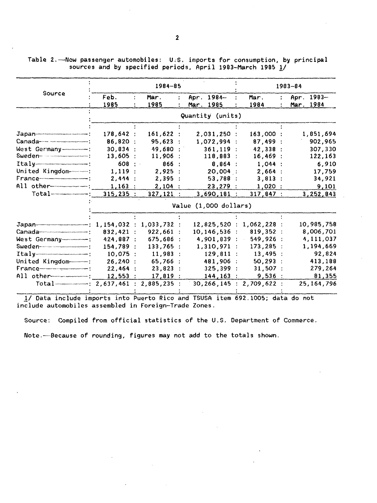Table 2.- New passenger automobiles: U.S. imports for consumption, by principal sources and by specified periods, April 1983-March 1985 1/

|                                                                                                                                                                                                                                                                                                         |                       | $1984 - 85$  |  |                              |   | $1983 - 84$  |  |                         |  |  |
|---------------------------------------------------------------------------------------------------------------------------------------------------------------------------------------------------------------------------------------------------------------------------------------------------------|-----------------------|--------------|--|------------------------------|---|--------------|--|-------------------------|--|--|
| Source                                                                                                                                                                                                                                                                                                  | Feb.<br>1985          | Mar.<br>1985 |  | Apr. 1984-<br>Mar. 1985      |   | Mar.<br>1984 |  | Apr. 1983-<br>Mar. 1984 |  |  |
|                                                                                                                                                                                                                                                                                                         |                       |              |  | Quantity (units)             |   |              |  |                         |  |  |
|                                                                                                                                                                                                                                                                                                         |                       |              |  |                              |   |              |  |                         |  |  |
| $Japan$ = $\frac{1}{2}$ = $\frac{1}{2}$ = $\frac{1}{2}$ = $\frac{1}{2}$ = $\frac{1}{2}$ = $\frac{1}{2}$ = $\frac{1}{2}$ = $\frac{1}{2}$ = $\frac{1}{2}$ = $\frac{1}{2}$ = $\frac{1}{2}$ = $\frac{1}{2}$ = $\frac{1}{2}$ = $\frac{1}{2}$ = $\frac{1}{2}$ = $\frac{1}{2}$ = $\frac{1}{2}$ = $\frac{1}{2}$ | 178,642:              | 161,622:     |  | 2,031,250:                   |   | 163,000 :    |  | 1,851,694               |  |  |
|                                                                                                                                                                                                                                                                                                         | 86,820 :              | 95,623       |  | 1,072,994                    |   | 87,499       |  | 902,965                 |  |  |
| West Germany--------------                                                                                                                                                                                                                                                                              | 30,834:               | 49,680       |  | $361,119$ :                  |   | 42,338       |  | 307,330                 |  |  |
|                                                                                                                                                                                                                                                                                                         | 13,605 :              | 11,906       |  | 118,883                      | ÷ | 16,469       |  | 122,163                 |  |  |
| $Itally$ $\cdots$ $\cdots$ $\cdots$                                                                                                                                                                                                                                                                     | 608:                  | 866:         |  | 8,864                        |   | $1,044$ :    |  | 6,910                   |  |  |
| United Kingdom                                                                                                                                                                                                                                                                                          | 1,119:                | 2,925        |  | 20,004 :                     |   | 2,664:       |  | 17,759                  |  |  |
|                                                                                                                                                                                                                                                                                                         | 2,444                 | 2,395        |  | 53,788                       |   | 3,813        |  | 34,921                  |  |  |
| All other-------------------                                                                                                                                                                                                                                                                            | 1,163                 | 2,104:       |  | 23,279                       |   | $1,020$ :    |  | 9,101                   |  |  |
| $Total$ $\cdots$                                                                                                                                                                                                                                                                                        | 315,235:              | 327,121:     |  | $3,690,181$ :                |   | 317,847:     |  | 3,252,843               |  |  |
|                                                                                                                                                                                                                                                                                                         | Value (1,000 dollars) |              |  |                              |   |              |  |                         |  |  |
|                                                                                                                                                                                                                                                                                                         |                       |              |  |                              |   |              |  |                         |  |  |
| $Japan$ $1,154,032:$                                                                                                                                                                                                                                                                                    |                       | 1,033,732:   |  | 12,825,520                   |   | 1,062,228:   |  | 10,985,758              |  |  |
| Canada <del>---------------------------</del> ---                                                                                                                                                                                                                                                       | 832,421 :             | 922,661      |  | 10,146,536                   |   | 819,352:     |  | 8,006,701               |  |  |
| West Germany----------                                                                                                                                                                                                                                                                                  | 424,887 :             | 675,686      |  | 4,901,839                    | ÷ | 549,926:     |  | 4,111,037               |  |  |
|                                                                                                                                                                                                                                                                                                         | 154,789 :             | 133,765      |  | 1,310,971                    |   | 173,285:     |  | 1,194,669               |  |  |
|                                                                                                                                                                                                                                                                                                         | $10,075$ :            | 11,983:      |  | 129,811                      |   | 13,495:      |  | 92,824                  |  |  |
| United Kingdom                                                                                                                                                                                                                                                                                          | 26,240:               | 65,766       |  | 481,906                      |   | 50,293       |  | 413,188                 |  |  |
|                                                                                                                                                                                                                                                                                                         | 22,464:               | 23,823       |  | 325,399                      |   | 31,507:      |  | 279,264                 |  |  |
| All other                                                                                                                                                                                                                                                                                               | 12,553                | 17,819       |  | 144, 163                     |   | 9,536:       |  | 81,355                  |  |  |
| Total----------------: 2,637,461 : 2,885,235 :                                                                                                                                                                                                                                                          |                       |              |  | 30, 266, 145 : 2, 709, 622 : |   |              |  | 25, 164, 796            |  |  |

17 Data include imports into Puerto Rico and TSUSA item 692.1005; data do not include automobiles assembled in Foreign-Trade Zones.

Source: Compiled from official statistics of the U.S. Department of Commerce.

Note.---Because of rounding, figures may not add to the totals shown.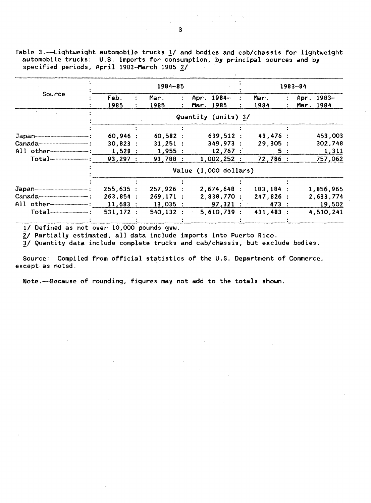Table 3.-Lightweight automobile trucks 1/ and bodies and cab/chassis for lightweight automobile trucks: U.S. imports for consumption, by principal sources and by specified periods, April 1983-March 1985 2/

|                           |              | 1984-85      |           |                       |              | $1983 - 84$                     |
|---------------------------|--------------|--------------|-----------|-----------------------|--------------|---------------------------------|
| Source                    | Feb.<br>1985 | Mar.<br>1985 | Apr.<br>÷ | 1984-<br>Mar. 1985    | Mar.<br>1984 | $1983-$<br>Apr.<br>1984<br>Mar. |
|                           |              |              |           | Quantity (units) 3/   |              |                                 |
|                           |              |              |           |                       |              |                                 |
|                           | 60.946:      | 60,582:      |           | 639,512:              | 43,476 :     | 453,003                         |
|                           | 30.823 :     | 31,251:      |           | 349,973:              | 29,305:      | 302,748                         |
| $All$ other $\frac{1}{1}$ | 1,528:       | 1,955:       |           | $12,767$ :            | 5:           | 1,311                           |
|                           | 93,297:      | 93,788       |           | 1,002,252:            | 72,786 :     | 757,062                         |
|                           |              |              |           | Value (1,000 dollars) |              |                                 |
|                           |              |              |           |                       |              |                                 |
|                           | 255,635:     | 257,926:     |           | 2,674,648:            | $183, 184$ : | 1,856,965                       |
|                           | 263,854:     | 269, 171:    |           | 2,838,770:            | $247,826$ :  | 2,633,774                       |
| $All$ other               | 11,683:      | $13,035$ :   |           | 97,321:               | 473 :        | 19,502                          |
| Total                     | 531,172:     | 540, 132 :   |           | 5,610,739:            | $431,483$ :  | 4,510,241                       |
|                           |              |              |           |                       |              |                                 |

1/ Defined as not over 10,000 pounds gvw.

 $2/$  Partially estimated, all data include imports into Puerto Rico.

3/ Quantity data include complete trucks and cab/chassis, but exclude bodies.

Source: Compiled from official statistics of the U.S. Department of Commerce, except as noted.

Note.-Because of rounding, figures may not add to the totals shown.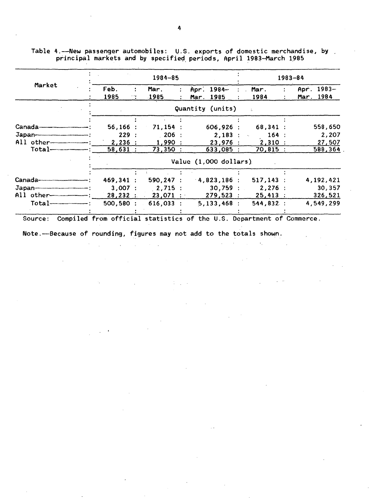|                              |           | 1984-85 |              |  |                         |  |                                      |  | 1983-84          |  |  |  |  |
|------------------------------|-----------|---------|--------------|--|-------------------------|--|--------------------------------------|--|------------------|--|--|--|--|
| Market                       | Feb.      |         | Mar.         |  | Apr. 1984-              |  | Mar.                                 |  | $1983 -$<br>Apr. |  |  |  |  |
|                              | 1985      | 11      | 1985         |  | 1985<br>Mar.            |  | 1984                                 |  | Mar. 1984        |  |  |  |  |
|                              |           |         |              |  | Quantity (units)        |  |                                      |  |                  |  |  |  |  |
|                              |           |         |              |  |                         |  |                                      |  |                  |  |  |  |  |
|                              | 56,166:   |         | 71,154:      |  | 606,926                 |  | $68,341$ :                           |  | 558,650          |  |  |  |  |
|                              | 229:      |         | 206          |  | 2,183                   |  | 164:<br>$\mathcal{L}_{\mathbf{a}}$ . |  | 2,207            |  |  |  |  |
| All other                    | 2,236:    |         | 1,990        |  | 23,976:                 |  | 2,310:                               |  | 27,507           |  |  |  |  |
|                              | 58,631:   |         | 73,350       |  | 633,085 :               |  | $70,815$ :                           |  | 588,364          |  |  |  |  |
|                              |           |         |              |  | Value $(1,000$ dollars) |  |                                      |  |                  |  |  |  |  |
|                              |           |         |              |  |                         |  |                                      |  |                  |  |  |  |  |
|                              | 469,341 : |         | $590, 247$ : |  | 4,823,186               |  | $517, 143$ :                         |  | 4,192,421        |  |  |  |  |
|                              | 3.007 :   |         | 2,715 :      |  | 30,759                  |  | 2,276:                               |  | 30,357           |  |  |  |  |
| All other------------------- | 28,232:   |         | $23,071$ :   |  | 279,523:                |  | 25,413:                              |  | 326,521          |  |  |  |  |
| Total                        | 500, 580: |         | $616,033$ :  |  | 5,133,468:              |  | 544,832:                             |  | 4,549,299        |  |  |  |  |

Table 4.——New passenger automobiles:  $\,$  U.S. exports of domestic merchandise, by  $\,$ principal markets and by specified periods, April 1983—March 1985

Source: Compiled from official statistics of the U.S. Department of Commerce.

 $1/\sqrt{1/\lambda}$ 

 $\mathbb{R}^2$  $\sim$   $\epsilon_{\rm{2}}$  .

 $\mathcal{L}^{(1,2)}$ 

 $\sim 10^{11}$ 

 $\sim 10^{-10}$ 

Note. ---Because of rounding, figures may not add to the totals shown.

 $\mathcal{A}^{\mathcal{A}}$  and  $\mathcal{A}^{\mathcal{A}}$  are  $\mathcal{A}^{\mathcal{A}}$  . In the  $\mathcal{A}^{\mathcal{A}}$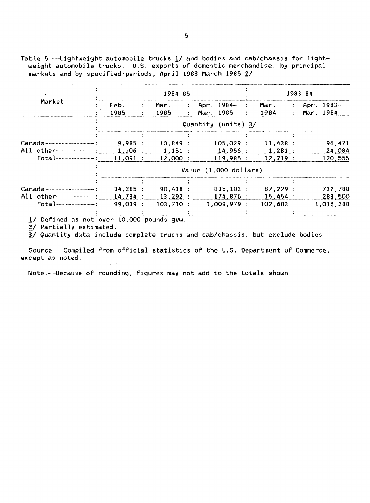Table 5.-Lightweight automobile trucks 1/ and bodies and cab/chassis for lightweight automobile trucks: U.S. exports of domestic merchandise, by principal markets and by specified periods, April 1983-March 1985 2/

|                |                       |              | $1983 - 84$           |               |                     |                  |                  |   |  |            |  |
|----------------|-----------------------|--------------|-----------------------|---------------|---------------------|------------------|------------------|---|--|------------|--|
| Market         | Feb.                  | $\mathbf{L}$ | Mar.                  | $\mathcal{L}$ | Apr. $1984-$        | $\mathcal{L}$    | Mar.             | ÷ |  | Apr. 1983- |  |
|                | 1985                  |              | 1985                  | $\mathbf{r}$  | Mar. 1985           | $\mathbb{R}^{2}$ | 1984             |   |  | Mar. 1984  |  |
|                |                       |              |                       |               | Quantity (units) 3/ |                  |                  |   |  |            |  |
|                |                       |              |                       |               |                     |                  |                  |   |  |            |  |
|                | 9,985:                |              | 10,849:               |               | $105,029$ :         |                  | 11,438:          |   |  | 96,471     |  |
|                | $1,106$ :             |              | $1,151$ :             |               | 14.956:             |                  | $1,281$ :        |   |  | 24,084     |  |
| Total          | $11,091$ :            |              | $12,000$ :            |               | 119.985:            |                  | 12,719:          |   |  | 120,555    |  |
|                | Value (1,000 dollars) |              |                       |               |                     |                  |                  |   |  |            |  |
|                |                       |              |                       |               |                     |                  |                  |   |  |            |  |
|                | 84,285:               |              | $90,418$ :            |               | $835,103$ :         |                  | 87,229:          |   |  | 732,788    |  |
| $All$ other $$ |                       |              | $14,734$ : $13,292$ : |               |                     |                  | 174,876: 15,454: |   |  | 283,500    |  |
|                | 99.019:               |              | 103,710:              |               | 1,009,979:          |                  | $102,683$ :      |   |  | 1,016,288  |  |
|                |                       |              |                       |               |                     |                  |                  |   |  |            |  |

1/ Defined as not over 10,000 pounds gvw.

2/ Partially estimated.

3/ Quantity data include complete trucks and cab/chassis, but exclude bodies.

Source: Compiled from official statistics of the U.S. Department of Commerce, except as noted.

Note.-Because of rounding, figures may not add to the totals shown.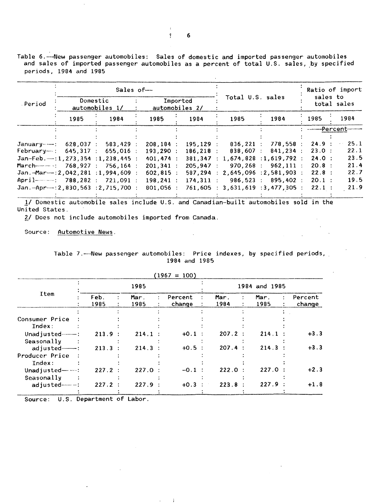Table 6.——New passenger automobiles: Sales of domestic and imported passenger automobiles and sales of imported passenger automobiles as a percent of total U.S. sales, by specified periods, 1984 and 1985

 $\mathcal{L}$ 

|                |                            | Sales of-                                                                            |                            |  |              |  |                  | Ratio of import<br>sales to              |  |                          |             |      |
|----------------|----------------------------|--------------------------------------------------------------------------------------|----------------------------|--|--------------|--|------------------|------------------------------------------|--|--------------------------|-------------|------|
| Period         | Domestic<br>automobiles 1/ |                                                                                      | Imported<br>automobiles 2/ |  |              |  | Total U.S. sales |                                          |  |                          | total sales |      |
|                | 1985                       | 1984                                                                                 | 1985                       |  | 1984         |  | 1985             | 1984                                     |  | 1985                     |             | 1984 |
|                |                            |                                                                                      |                            |  |              |  |                  |                                          |  | ---------Percent-------- |             |      |
|                |                            |                                                                                      |                            |  |              |  |                  |                                          |  |                          |             |      |
| Januarv-----   |                            | 628.037 : 583.429 :                                                                  | $208, 184$ :               |  | $195.129$ :  |  | $836,221$ :      | 778,558:                                 |  | 24.9:                    |             | 25.1 |
| February---- : |                            | $645,317$ : 655,016 :                                                                | 193, 290:                  |  | $186, 218$ : |  | 838,607 :        | $841,234$ :                              |  | 23.0:                    |             | 22.1 |
|                |                            | $Jan-Feb. \n---: 1, 273, 354 : 1, 238, 445 :$                                        | 401.474:                   |  |              |  |                  | 381,347 : 1,674,828 : 1,619,792 :        |  | 24.0:                    |             | 23.5 |
|                |                            | March---------: 768,927 : 756,164 :                                                  | $201,341$ :                |  | 205.947:     |  |                  | 970.268 : 962.111 :                      |  | 20.8:                    |             | 21.4 |
|                |                            | $Jan.-Mar--:2,042,281 :1,994,609 :$                                                  | $602,815$ :                |  |              |  |                  | $587, 294 : 2, 645, 096 : 2, 581, 903 :$ |  | 22.8:                    |             | 22.7 |
|                |                            | April————: 788.282 : 721.091 :                                                       |                            |  | $174.311$ :  |  |                  | 986.523 : 895.402 :                      |  | $20.1$ :                 |             | 19.5 |
|                |                            | $Jan. - Apr. - 2, 830, 563$ : 2, 715, 700 :                                          | 801,056 :                  |  |              |  |                  | 761,605 : 3,631,619 : 3,477,305 :        |  | 22.1:                    |             | 21.9 |
|                |                            | 1/ Domestic automobile sales include U.S. and Canadian-built automobiles sold in the | $198, 241$ :               |  |              |  |                  |                                          |  |                          |             |      |

United States.

?/ Does not include automobiles imported from Canada.

Source: Automotive News.

|  |  | Table 7.— New passenger automobiles: Price indexes, by specified periods, |  |  |  |  |
|--|--|---------------------------------------------------------------------------|--|--|--|--|
|  |  | 1984 and 1985                                                             |  |  |  |  |

 $\sim 10^{10}$ 

 $\sim 10$ 

|                    |              | 1985          |                   |              |                | 1984 and 1985 |   |                   |
|--------------------|--------------|---------------|-------------------|--------------|----------------|---------------|---|-------------------|
| Item               | Feb.<br>1985 | Mar .<br>1985 | Percent<br>change | Mar.<br>1984 |                | Mar.<br>1985  | ÷ | Percent<br>change |
|                    |              |               |                   |              |                |               |   |                   |
| Consumer Price     |              |               |                   |              |                |               |   |                   |
| Index:             |              |               |                   |              |                |               |   |                   |
| Unadjusted $---$ : | 213.9:       | $214.1$ :     | $+0.1$ :          | 207.2:       |                | 214.1         |   | $+3.3$            |
| Seasonally         |              |               |                   |              |                |               |   |                   |
| adjusted----       | $213.3$ :    | $214.3$ :     | $+0.5$ :          | 207.4        | $\ddot{\cdot}$ | 214.3         |   | $+3.3$            |
| Producer Price     |              |               |                   |              |                |               |   |                   |
| Index:             |              |               |                   |              |                |               |   |                   |
| Unadjusted-        | $227.2$ :    | $227.0$ :     | $-0.1$ :          | 222.0        |                | 227.0:        |   | $+2.3$            |
| Seasonally         |              |               |                   |              |                |               |   |                   |
| adjusted--------   | $227.2$ :    | 227.9:        | $+0.3$ :          | 223.8        |                | 227.9:        |   | $+1.8$            |
|                    |              |               |                   |              |                |               |   |                   |

÷

6

 $\mathbf{r}$  $\mathbf{q}$ .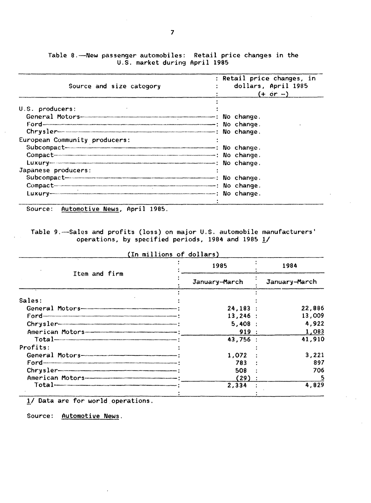| Source and size category                                                                                                                                                                                                                                                                               | : Retail price changes, in<br>dollars, April 1985<br>$(+ \circ r - )$ |
|--------------------------------------------------------------------------------------------------------------------------------------------------------------------------------------------------------------------------------------------------------------------------------------------------------|-----------------------------------------------------------------------|
| U.S. producers:<br>Ford-Construction Construction Construction Construction Construction Construction Construction Construction Construction Construction Construction Construction Construction Construction Construction Construction Construct<br>$Chrysler$ $\overline{\phantom{aa}}$ . No change. |                                                                       |
| European Community producers:<br>Subcompact-communication of the Subcompact Monday of the Subcompact Monday of the Subcompact Monday of the Subcompact Monday of the Subcompact Monday of the Subcompact Monday of the Subcompact Monday of the Subcompact Mond<br>Compact No change.                  |                                                                       |
| Japanese producers:<br>Luxury-commencement contract the change.                                                                                                                                                                                                                                        |                                                                       |

Table 8.——New passenger automobiles: Retail price changes in the<br>U.S. market during April 1985

Source: Automotive News, April 1985.

Table 9.-Sales and profits (loss) on major U.S. automobile manufacturers' operations, by specified periods, 1984 and 1985 1/

|                                     | (In millions of dollars) |               |        |  |
|-------------------------------------|--------------------------|---------------|--------|--|
|                                     | 1985                     |               | 1984   |  |
| Item and firm                       | January-March            | January-March |        |  |
| Sales:                              |                          |               |        |  |
|                                     | 24,183:                  |               | 22,886 |  |
|                                     | $13,246$ :               |               | 13,009 |  |
| $Chrysler$ $\overline{\phantom{ab}$ | $5,408$ :                |               | 4,922  |  |
|                                     | 919:                     |               | 1,083  |  |
|                                     | 43,756 :                 |               | 41,910 |  |
| Profits:                            |                          |               |        |  |
|                                     | 1.072                    |               | 3,221  |  |
|                                     | 783                      |               | 897    |  |
|                                     | 508                      |               | 706    |  |
|                                     | (29)                     |               |        |  |
|                                     | 2,334                    |               | 4,829  |  |
|                                     |                          |               |        |  |

1/ Data are for world operations.

Source: Automotive News.

 $\overline{7}$